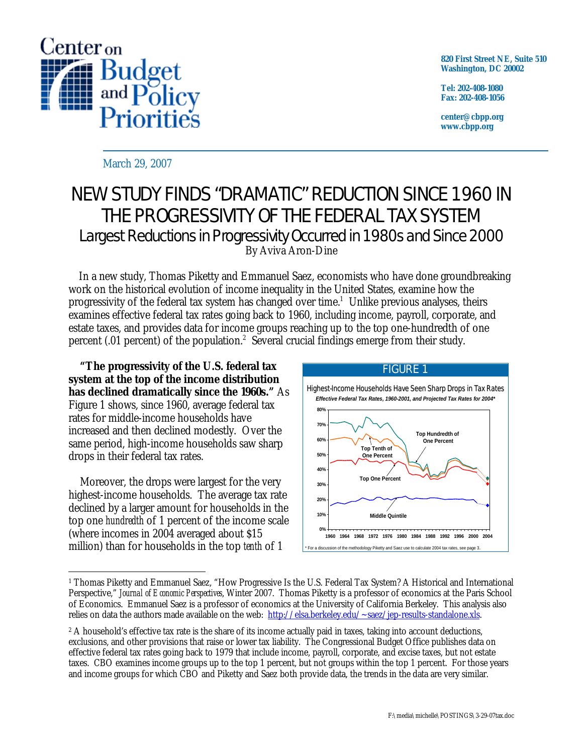

**820 First Street NE, Suite 510 Washington, DC 20002** 

**Tel: 202-408-1080 Fax: 202-408-1056** 

**center@cbpp.org www.cbpp.org** 

March 29, 2007

## NEW STUDY FINDS "DRAMATIC" REDUCTION SINCE 1960 IN THE PROGRESSIVITY OF THE FEDERAL TAX SYSTEM Largest Reductions in Progressivity Occurred in 1980s and Since 2000 By Aviva Aron-Dine

 In a new study, Thomas Piketty and Emmanuel Saez, economists who have done groundbreaking work on the historical evolution of income inequality in the United States, examine how the progressivity of the federal tax system has changed over time.<sup>1</sup> Unlike previous analyses, theirs examines effective federal tax rates going back to 1960, including income, payroll, corporate, and estate taxes, and provides data for income groups reaching up to the top one-hundredth of one percent (.01 percent) of the population.<sup>2</sup> Several crucial findings emerge from their study.

**"The progressivity of the U.S. federal tax system at the top of the income distribution has declined dramatically since the 1960s."** As Figure 1 shows, since 1960, average federal tax rates for middle-income households have increased and then declined modestly. Over the same period, high-income households saw sharp drops in their federal tax rates.

Moreover, the drops were largest for the very highest-income households. The average tax rate declined by a larger amount for households in the top one *hundredth* of 1 percent of the income scale (where incomes in 2004 averaged about \$15 million) than for households in the top *tenth* of 1



<sup>-</sup>1 Thomas Piketty and Emmanuel Saez, "How Progressive Is the U.S. Federal Tax System? A Historical and International Perspective," *Journal of Economic Perspectives*, Winter 2007. Thomas Piketty is a professor of economics at the Paris School of Economics. Emmanuel Saez is a professor of economics at the University of California Berkeley. This analysis also relies on data the authors made available on the web: http://elsa.berkeley.edu/~saez/jep-results-standalone.xls.

<sup>&</sup>lt;sup>2</sup> A household's effective tax rate is the share of its income actually paid in taxes, taking into account deductions, exclusions, and other provisions that raise or lower tax liability. The Congressional Budget Office publishes data on effective federal tax rates going back to 1979 that include income, payroll, corporate, and excise taxes, but not estate taxes. CBO examines income groups up to the top 1 percent, but not groups within the top 1 percent. For those years and income groups for which CBO and Piketty and Saez both provide data, the trends in the data are very similar.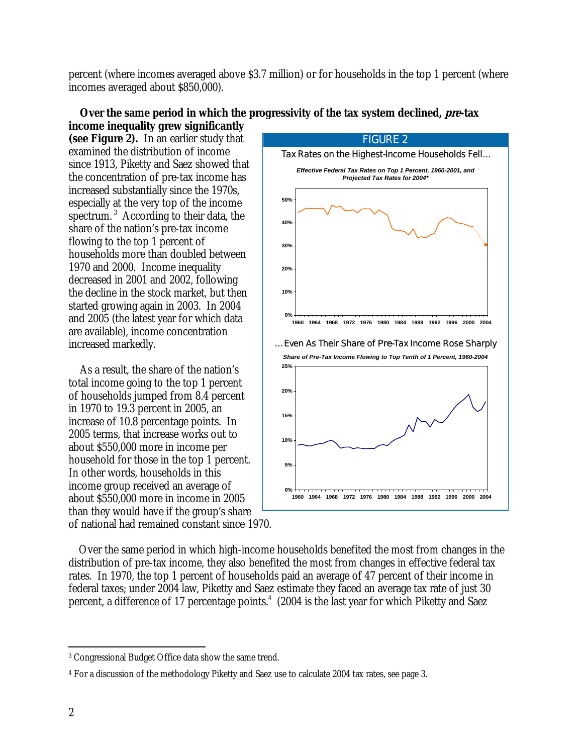percent (where incomes averaged above \$3.7 million) or for households in the top 1 percent (where incomes averaged about \$850,000).

since 1913, Piketty and Saez showed that the concentration of pre-tax income has spectrum.<sup>3</sup> According to their data, the households more than doubled between the decline in the stock market, but then of households jumped from 8.4 percent household for those in the top 1 percent. about \$550,000 more in income in 2005 FIGURE 2 **0% 10% 20% 30% 40% 50% 1960 1964 1968 1972 1976 1980 1984 1988 1992 1996 2000 2004** Tax Rates on the Highest-Income Households Fell... *Effective Federal Tax Rates on Top 1 Percent, 1960-2001, and Projected Tax Rates for 2004\** **0% 5% 10% 15% 20% 25% 1960 1964 1968 1972 1976 1980 1984 1988 1992 1996 2000 2004** *Share of Pre-Tax Income Flowing to Top Tenth of 1 Percent, 1960-2004* ... Even As Their Share of *Pre*-Tax Income Rose Sharply

**Over the same period in which the progressivity of the tax system declined, pre-tax income inequality grew significantly** 

than they would have if the group's share of national had remained constant since 1970. Over the same period in which high-income households benefited the most from changes in the distribution of pre-tax income, they also benefited the most from changes in effective federal tax rates. In 1970, the top 1 percent of households paid an average of 47 percent of their income in federal taxes; under 2004 law, Piketty and Saez estimate they faced an average tax rate of just 30 percent, a difference of 17 percentage points.<sup>4</sup> (2004 is the last year for which Piketty and Saez

**(see Figure 2).** In an earlier study that examined the distribution of income

increased substantially since the 1970s, especially at the very top of the income

share of the nation's pre-tax income flowing to the top 1 percent of

1970 and 2000. Income inequality decreased in 2001 and 2002, following

increased markedly.

started growing again in 2003. In 2004 and 2005 (the latest year for which data are available), income concentration

As a result, the share of the nation's total income going to the top 1 percent

in 1970 to 19.3 percent in 2005, an increase of 10.8 percentage points. In 2005 terms, that increase works out to about \$550,000 more in income per

In other words, households in this income group received an average of

 $\overline{a}$ 3 Congressional Budget Office data show the same trend.

<sup>4</sup> For a discussion of the methodology Piketty and Saez use to calculate 2004 tax rates, see page 3.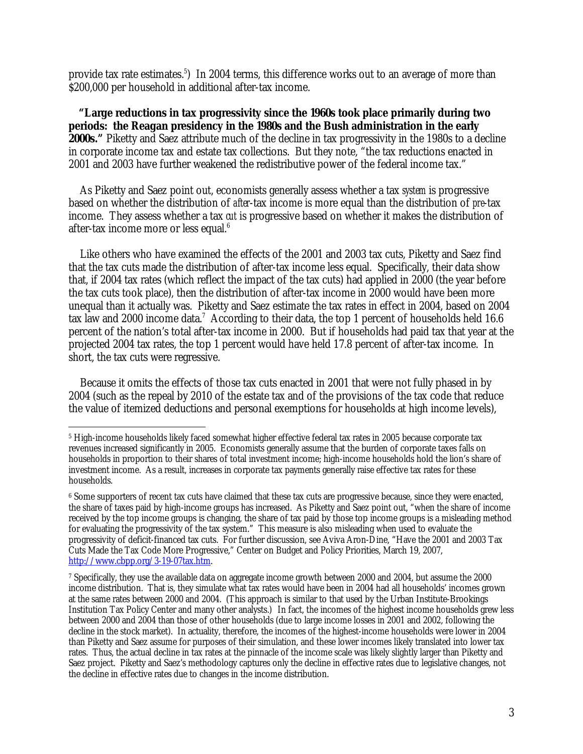provide tax rate estimates.<sup>5</sup>) In 2004 terms, this difference works out to an average of more than \$200,000 per household in additional after-tax income.

**"Large reductions in tax progressivity since the 1960s took place primarily during two periods: the Reagan presidency in the 1980s and the Bush administration in the early 2000s."** Piketty and Saez attribute much of the decline in tax progressivity in the 1980s to a decline in corporate income tax and estate tax collections. But they note, "the tax reductions enacted in 2001 and 2003 have further weakened the redistributive power of the federal income tax."

As Piketty and Saez point out, economists generally assess whether a tax *system* is progressive based on whether the distribution of *after*-tax income is more equal than the distribution of *pre*-tax income. They assess whether a tax *cut* is progressive based on whether it makes the distribution of after-tax income more or less equal.<sup>6</sup>

Like others who have examined the effects of the 2001 and 2003 tax cuts, Piketty and Saez find that the tax cuts made the distribution of after-tax income less equal. Specifically, their data show that, if 2004 tax rates (which reflect the impact of the tax cuts) had applied in 2000 (the year before the tax cuts took place), then the distribution of after-tax income in 2000 would have been more unequal than it actually was. Piketty and Saez estimate the tax rates in effect in 2004, based on 2004 tax law and 2000 income data.<sup>7</sup> According to their data, the top 1 percent of households held 16.6 percent of the nation's total after-tax income in 2000. But if households had paid tax that year at the projected 2004 tax rates, the top 1 percent would have held 17.8 percent of after-tax income. In short, the tax cuts were regressive.

Because it omits the effects of those tax cuts enacted in 2001 that were not fully phased in by 2004 (such as the repeal by 2010 of the estate tax and of the provisions of the tax code that reduce the value of itemized deductions and personal exemptions for households at high income levels),

 $\overline{a}$ 5 High-income households likely faced somewhat higher effective federal tax rates in 2005 because corporate tax revenues increased significantly in 2005. Economists generally assume that the burden of corporate taxes falls on households in proportion to their shares of total investment income; high-income households hold the lion's share of investment income. As a result, increases in corporate tax payments generally raise effective tax rates for these households.

<sup>6</sup> Some supporters of recent tax cuts have claimed that these tax cuts are progressive because, since they were enacted, the share of taxes paid by high-income groups has increased. As Piketty and Saez point out, "when the share of income received by the top income groups is changing, the share of tax paid by those top income groups is a misleading method for evaluating the progressivity of the tax system." This measure is also misleading when used to evaluate the progressivity of deficit-financed tax cuts. For further discussion, see Aviva Aron-Dine, "Have the 2001 and 2003 Tax Cuts Made the Tax Code More Progressive," Center on Budget and Policy Priorities, March 19, 2007, http://www.cbpp.org/3-19-07tax.htm.

<sup>7</sup> Specifically, they use the available data on aggregate income growth between 2000 and 2004, but assume the 2000 income distribution. That is, they simulate what tax rates would have been in 2004 had all households' incomes grown at the same rates between 2000 and 2004. (This approach is similar to that used by the Urban Institute-Brookings Institution Tax Policy Center and many other analysts.) In fact, the incomes of the highest income households grew less between 2000 and 2004 than those of other households (due to large income losses in 2001 and 2002, following the decline in the stock market). In actuality, therefore, the incomes of the highest-income households were lower in 2004 than Piketty and Saez assume for purposes of their simulation, and these lower incomes likely translated into lower tax rates. Thus, the actual decline in tax rates at the pinnacle of the income scale was likely slightly larger than Piketty and Saez project. Piketty and Saez's methodology captures only the decline in effective rates due to legislative changes, not the decline in effective rates due to changes in the income distribution.